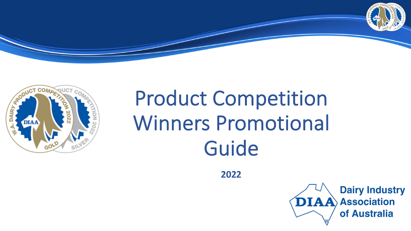



# Product Competition Winners Promotional Guide

**2022**

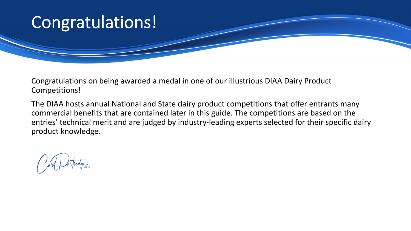#### Congratulations!

Congratulations on being awarded a medal in one of our illustrious DIAA Dairy Product Competitions!

The DIAA hosts annual National and State dairy product competitions that offer entrants many commercial benefits that are contained later in this guide. The competitions are based on the entries' technical merit and are judged by industry-leading experts selected for their specific dairy product knowledge.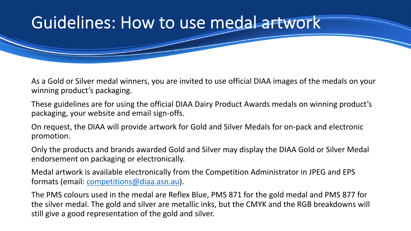## Guidelines: How to use medal artwork

As a Gold or Silver medal winners, you are invited to use official DIAA images of the medals on your winning product's packaging.

These guidelines are for using the official DIAA Dairy Product Awards medals on winning product's packaging, your website and email sign-offs.

On request, the DIAA will provide artwork for Gold and Silver Medals for on-pack and electronic promotion.

Only the products and brands awarded Gold and Silver may display the DIAA Gold or Silver Medal endorsement on packaging or electronically.

Medal artwork is available electronically from the Competition Administrator in JPEG and EPS formats (email: [competitions@diaa.asn.au](mailto:competitions@diaa.asn.au)).

The PMS colours used in the medal are Reflex Blue, PMS 871 for the gold medal and PMS 877 for the silver medal. The gold and silver are metallic inks, but the CMYK and the RGB breakdowns will still give a good representation of the gold and silver.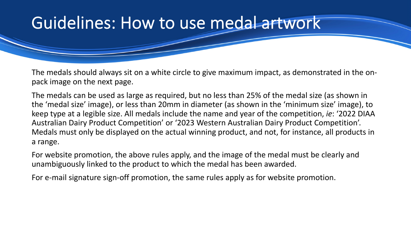## Guidelines: How to use medal artwork

The medals should always sit on a white circle to give maximum impact, as demonstrated in the onpack image on the next page.

The medals can be used as large as required, but no less than 25% of the medal size (as shown in the 'medal size' image), or less than 20mm in diameter (as shown in the 'minimum size' image), to keep type at a legible size. All medals include the name and year of the competition, *ie*: '2022 DIAA Australian Dairy Product Competition' or '2023 Western Australian Dairy Product Competition'. Medals must only be displayed on the actual winning product, and not, for instance, all products in a range.

For website promotion, the above rules apply, and the image of the medal must be clearly and unambiguously linked to the product to which the medal has been awarded.

For e-mail signature sign-off promotion, the same rules apply as for website promotion.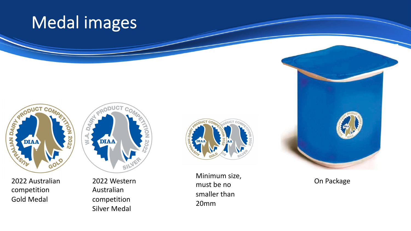## Medal images



2022 Australian competition Gold Medal



Australian competition Silver Medal



2022 Western **Confirmation** of the position of the position of the position of the position of the position of the position of the position of the position of the position of the position of the position of the position of Minimum size, must be no smaller than 20mm

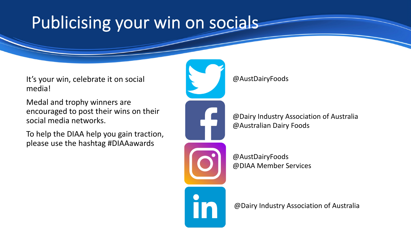# Publicising your win on socials

It's your win, celebrate it on social media!

Medal and trophy winners are encouraged to post their wins on their social media networks.

To help the DIAA help you gain traction, please use the hashtag #DIAAawards



@AustDairyFoods

@Dairy Industry Association of Australia @Australian Dairy Foods

@AustDairyFoods @DIAA Member Services

@Dairy Industry Association of Australia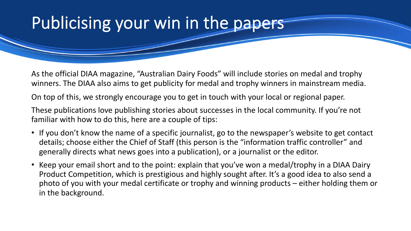## Publicising your win in the papers

As the official DIAA magazine, "Australian Dairy Foods" will include stories on medal and trophy winners. The DIAA also aims to get publicity for medal and trophy winners in mainstream media.

On top of this, we strongly encourage you to get in touch with your local or regional paper.

These publications love publishing stories about successes in the local community. If you're not familiar with how to do this, here are a couple of tips:

- If you don't know the name of a specific journalist, go to the newspaper's website to get contact details; choose either the Chief of Staff (this person is the "information traffic controller" and generally directs what news goes into a publication), or a journalist or the editor.
- Keep your email short and to the point: explain that you've won a medal/trophy in a DIAA Dairy Product Competition, which is prestigious and highly sought after. It's a good idea to also send a photo of you with your medal certificate or trophy and winning products – either holding them or in the background.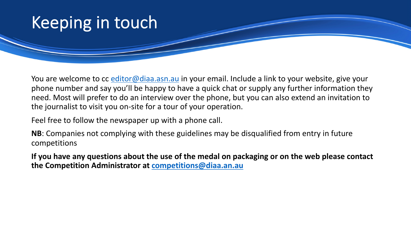### Keeping in touch

You are welcome to cc [editor@diaa.asn.au](mailto:editor@diaa.asn.au) in your email. Include a link to your website, give your phone number and say you'll be happy to have a quick chat or supply any further information they need. Most will prefer to do an interview over the phone, but you can also extend an invitation to the journalist to visit you on-site for a tour of your operation.

Feel free to follow the newspaper up with a phone call.

**NB**: Companies not complying with these guidelines may be disqualified from entry in future competitions

**If you have any questions about the use of the medal on packaging or on the web please contact the Competition Administrator at [competitions@diaa.an.au](mailto:competitions@diaa.an.au)**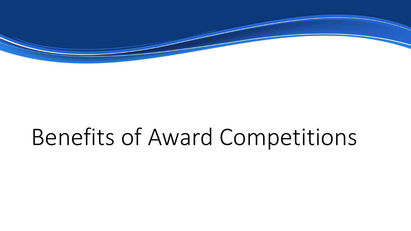

# Benefits of Award Competitions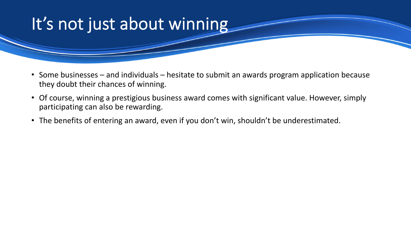## It's not just about winning

- Some businesses and individuals hesitate to submit an awards program application because they doubt their chances of winning.
- Of course, winning a prestigious business award comes with significant value. However, simply participating can also be rewarding.
- The benefits of entering an award, even if you don't win, shouldn't be underestimated.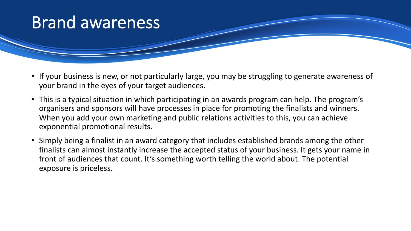#### Brand awareness

- If your business is new, or not particularly large, you may be struggling to generate awareness of your brand in the eyes of your target audiences.
- This is a typical situation in which participating in an awards program can help. The program's organisers and sponsors will have processes in place for promoting the finalists and winners. When you add your own marketing and public relations activities to this, you can achieve exponential promotional results.
- Simply being a finalist in an award category that includes established brands among the other finalists can almost instantly increase the accepted status of your business. It gets your name in front of audiences that count. It's something worth telling the world about. The potential exposure is priceless.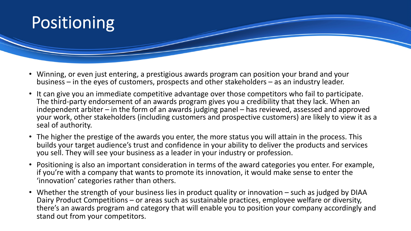

- Winning, or even just entering, a prestigious awards program can position your brand and your business – in the eyes of customers, prospects and other stakeholders – as an industry leader.
- It can give you an immediate competitive advantage over those competitors who fail to participate. The third-party endorsement of an awards program gives you a credibility that they lack. When an independent arbiter – in the form of an awards judging panel – has reviewed, assessed and approved your work, other stakeholders (including customers and prospective customers) are likely to view it as a seal of authority.
- The higher the prestige of the awards you enter, the more status you will attain in the process. This builds your target audience's trust and confidence in your ability to deliver the products and services you sell. They will see your business as a leader in your industry or profession.
- Positioning is also an important consideration in terms of the award categories you enter. For example, if you're with a company that wants to promote its innovation, it would make sense to enter the 'innovation' categories rather than others.
- Whether the strength of your business lies in product quality or innovation such as judged by DIAA Dairy Product Competitions – or areas such as sustainable practices, employee welfare or diversity, there's an awards program and category that will enable you to position your company accordingly and stand out from your competitors.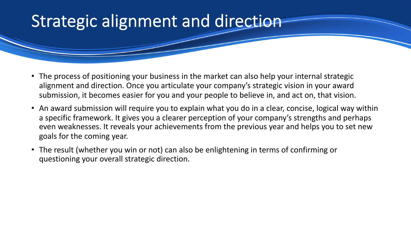## Strategic alignment and direction

- The process of positioning your business in the market can also help your internal strategic alignment and direction. Once you articulate your company's strategic vision in your award submission, it becomes easier for you and your people to believe in, and act on, that vision.
- An award submission will require you to explain what you do in a clear, concise, logical way within a specific framework. It gives you a clearer perception of your company's strengths and perhaps even weaknesses. It reveals your achievements from the previous year and helps you to set new goals for the coming year.
- The result (whether you win or not) can also be enlightening in terms of confirming or questioning your overall strategic direction.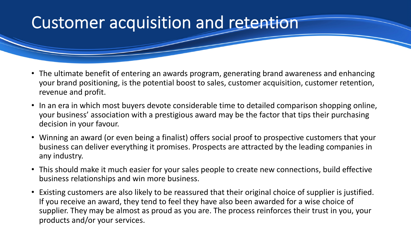## Customer acquisition and retention

- The ultimate benefit of entering an awards program, generating brand awareness and enhancing your brand positioning, is the potential boost to sales, customer acquisition, customer retention, revenue and profit.
- In an era in which most buyers devote considerable time to detailed comparison shopping online, your business' association with a prestigious award may be the factor that tips their purchasing decision in your favour.
- Winning an award (or even being a finalist) offers social proof to prospective customers that your business can deliver everything it promises. Prospects are attracted by the leading companies in any industry.
- This should make it much easier for your sales people to create new connections, build effective business relationships and win more business.
- Existing customers are also likely to be reassured that their original choice of supplier is justified. If you receive an award, they tend to feel they have also been awarded for a wise choice of supplier. They may be almost as proud as you are. The process reinforces their trust in you, your products and/or your services.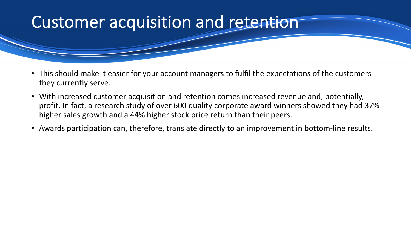### Customer acquisition and retention

- This should make it easier for your account managers to fulfil the expectations of the customers they currently serve.
- With increased customer acquisition and retention comes increased revenue and, potentially, profit. In fact, a research study of over 600 quality corporate award winners showed they had 37% higher sales growth and a 44% higher stock price return than their peers.
- Awards participation can, therefore, translate directly to an improvement in bottom-line results.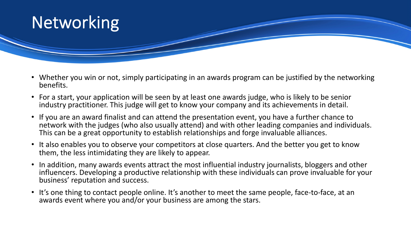

- Whether you win or not, simply participating in an awards program can be justified by the networking benefits.
- For a start, your application will be seen by at least one awards judge, who is likely to be senior industry practitioner. This judge will get to know your company and its achievements in detail.
- If you are an award finalist and can attend the presentation event, you have a further chance to network with the judges (who also usually attend) and with other leading companies and individuals. This can be a great opportunity to establish relationships and forge invaluable alliances.
- It also enables you to observe your competitors at close quarters. And the better you get to know them, the less intimidating they are likely to appear.
- In addition, many awards events attract the most influential industry journalists, bloggers and other influencers. Developing a productive relationship with these individuals can prove invaluable for your business' reputation and success.
- It's one thing to contact people online. It's another to meet the same people, face-to-face, at an awards event where you and/or your business are among the stars.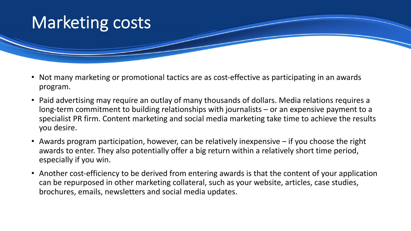## Marketing costs

- Not many marketing or promotional tactics are as cost-effective as participating in an awards program.
- Paid advertising may require an outlay of many thousands of dollars. Media relations requires a long-term commitment to building relationships with journalists – or an expensive payment to a specialist PR firm. Content marketing and social media marketing take time to achieve the results you desire.
- Awards program participation, however, can be relatively inexpensive if you choose the right awards to enter. They also potentially offer a big return within a relatively short time period, especially if you win.
- Another cost-efficiency to be derived from entering awards is that the content of your application can be repurposed in other marketing collateral, such as your website, articles, case studies, brochures, emails, newsletters and social media updates.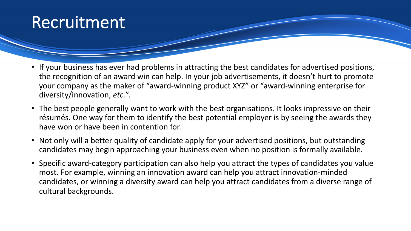#### Recruitment

- If your business has ever had problems in attracting the best candidates for advertised positions, the recognition of an award win can help. In your job advertisements, it doesn't hurt to promote your company as the maker of "award-winning product XYZ" or "award-winning enterprise for diversity/innovation, *etc.*".
- The best people generally want to work with the best organisations. It looks impressive on their résumés. One way for them to identify the best potential employer is by seeing the awards they have won or have been in contention for.
- Not only will a better quality of candidate apply for your advertised positions, but outstanding candidates may begin approaching your business even when no position is formally available.
- Specific award-category participation can also help you attract the types of candidates you value most. For example, winning an innovation award can help you attract innovation-minded candidates, or winning a diversity award can help you attract candidates from a diverse range of cultural backgrounds.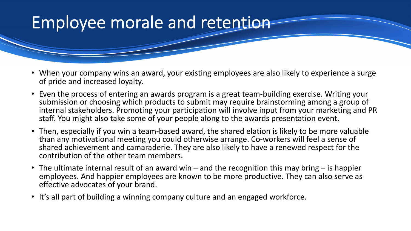## Employee morale and retention

- When your company wins an award, your existing employees are also likely to experience a surge of pride and increased loyalty.
- Even the process of entering an awards program is a great team-building exercise. Writing your submission or choosing which products to submit may require brainstorming among a group of internal stakeholders. Promoting your participation will involve input from your marketing and PR staff. You might also take some of your people along to the awards presentation event.
- Then, especially if you win a team-based award, the shared elation is likely to be more valuable than any motivational meeting you could otherwise arrange. Co-workers will feel a sense of shared achievement and camaraderie. They are also likely to have a renewed respect for the contribution of the other team members.
- The ultimate internal result of an award win and the recognition this may bring is happier employees. And happier employees are known to be more productive. They can also serve as effective advocates of your brand.
- It's all part of building a winning company culture and an engaged workforce.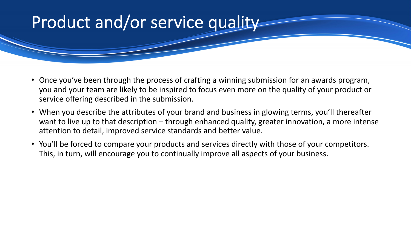## Product and/or service quality

- Once you've been through the process of crafting a winning submission for an awards program, you and your team are likely to be inspired to focus even more on the quality of your product or service offering described in the submission.
- When you describe the attributes of your brand and business in glowing terms, you'll thereafter want to live up to that description – through enhanced quality, greater innovation, a more intense attention to detail, improved service standards and better value.
- You'll be forced to compare your products and services directly with those of your competitors. This, in turn, will encourage you to continually improve all aspects of your business.